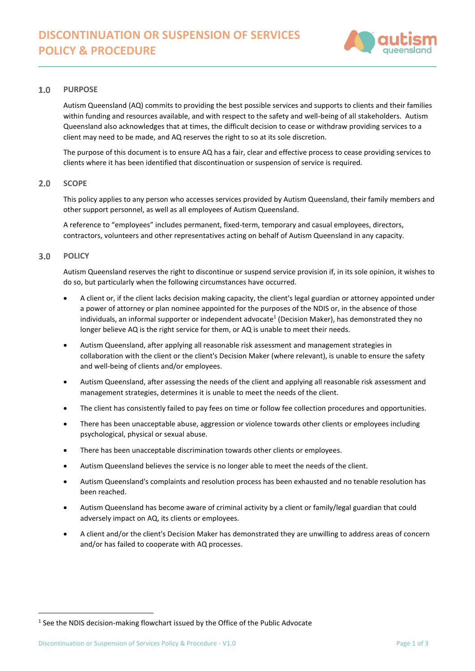

# $1.0$ **PURPOSE**

Autism Queensland (AQ) commits to providing the best possible services and supports to clients and their families within funding and resources available, and with respect to the safety and well-being of all stakeholders. Autism Queensland also acknowledges that at times, the difficult decision to cease or withdraw providing services to a client may need to be made, and AQ reserves the right to so at its sole discretion.

The purpose of this document is to ensure AQ has a fair, clear and effective process to cease providing services to clients where it has been identified that discontinuation or suspension of service is required.

## $2.0$ **SCOPE**

This policy applies to any person who accesses services provided by Autism Queensland, their family members and other support personnel, as well as all employees of Autism Queensland.

A reference to "employees" includes permanent, fixed-term, temporary and casual employees, directors, contractors, volunteers and other representatives acting on behalf of Autism Queensland in any capacity.

### $3.0$ **POLICY**

Autism Queensland reserves the right to discontinue or suspend service provision if, in its sole opinion, it wishes to do so, but particularly when the following circumstances have occurred.

- A client or, if the client lacks decision making capacity, the client's legal guardian or attorney appointed under a power of attorney or plan nominee appointed for the purposes of the NDIS or, in the absence of those individuals, an informal supporter or independent advocate<sup>1</sup> (Decision Maker), has demonstrated they no longer believe AQ is the right service for them, or AQ is unable to meet their needs.
- Autism Queensland, after applying all reasonable risk assessment and management strategies in collaboration with the client or the client's Decision Maker (where relevant), is unable to ensure the safety and well-being of clients and/or employees.
- Autism Queensland, after assessing the needs of the client and applying all reasonable risk assessment and management strategies, determines it is unable to meet the needs of the client.
- The client has consistently failed to pay fees on time or follow fee collection procedures and opportunities.
- There has been unacceptable abuse, aggression or violence towards other clients or employees including psychological, physical or sexual abuse.
- There has been unacceptable discrimination towards other clients or employees.
- Autism Queensland believes the service is no longer able to meet the needs of the client.
- Autism Queensland's complaints and resolution process has been exhausted and no tenable resolution has been reached.
- Autism Queensland has become aware of criminal activity by a client or family/legal guardian that could adversely impact on AQ, its clients or employees.
- A client and/or the client's Decision Maker has demonstrated they are unwilling to address areas of concern and/or has failed to cooperate with AQ processes.

 $<sup>1</sup>$  See the NDIS decision-making flowchart issued by the Office of the Public Advocate</sup>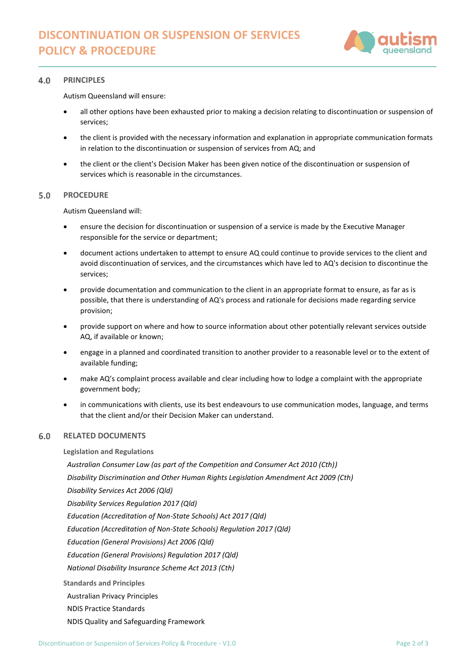

# $4.0$ **PRINCIPLES**

Autism Queensland will ensure:

- all other options have been exhausted prior to making a decision relating to discontinuation or suspension of services;
- the client is provided with the necessary information and explanation in appropriate communication formats in relation to the discontinuation or suspension of services from AQ; and
- the client or the client's Decision Maker has been given notice of the discontinuation or suspension of services which is reasonable in the circumstances.

### $5.0$ **PROCEDURE**

Autism Queensland will:

- ensure the decision for discontinuation or suspension of a service is made by the Executive Manager responsible for the service or department;
- document actions undertaken to attempt to ensure AQ could continue to provide services to the client and avoid discontinuation of services, and the circumstances which have led to AQ's decision to discontinue the services;
- provide documentation and communication to the client in an appropriate format to ensure, as far as is possible, that there is understanding of AQ's process and rationale for decisions made regarding service provision;
- provide support on where and how to source information about other potentially relevant services outside AQ, if available or known;
- engage in a planned and coordinated transition to another provider to a reasonable level or to the extent of available funding;
- make AQ's complaint process available and clear including how to lodge a complaint with the appropriate government body;
- in communications with clients, use its best endeavours to use communication modes, language, and terms that the client and/or their Decision Maker can understand.

## **RELATED DOCUMENTS**  $6.0$

**Legislation and Regulations**

*[Australian Consumer Law \(as part of the Competition and Consumer Act 2010 \(Cth\)\)](https://www.legislation.gov.au/Series/C2004A00109)*

*[Disability Discrimination and Other Human Rights Legislation Amendment Act 2009 \(Cth\)](https://www.legislation.gov.au/Details/C2011C00175)*

*[Disability Services Act 2006 \(Qld\)](https://www.legislation.qld.gov.au/view/html/inforce/current/act-2006-012)*

*[Disability Services Regulation 2017 \(Qld\)](https://www.legislation.qld.gov.au/view/html/inforce/current/sl-2017-0099)*

*[Education \(Accreditation of Non-State Schools\) Act 2017 \(Qld\)](https://www.legislation.qld.gov.au/view/html/inforce/current/act-2017-024)*

*[Education \(Accreditation of Non-State Schools\) Regulation 2017 \(Qld\)](https://www.legislation.qld.gov.au/view/html/inforce/current/sl-2017-0197)*

*[Education \(General Provisions\) Act 2006 \(Qld\)](https://www.legislation.qld.gov.au/view/html/inforce/current/act-2006-039)*

*[Education \(General Provisions\) Regulation 2017 \(Qld\)](https://www.legislation.qld.gov.au/view/html/inforce/current/sl-2017-0161)*

*[National Disability Insurance Scheme Act 2013 \(Cth\)](https://www.legislation.gov.au/Series/C2013A00020)*

**Standards and Principles**

Australian Privacy Principles

- NDIS Practice Standards
- NDIS Quality and Safeguarding Framework